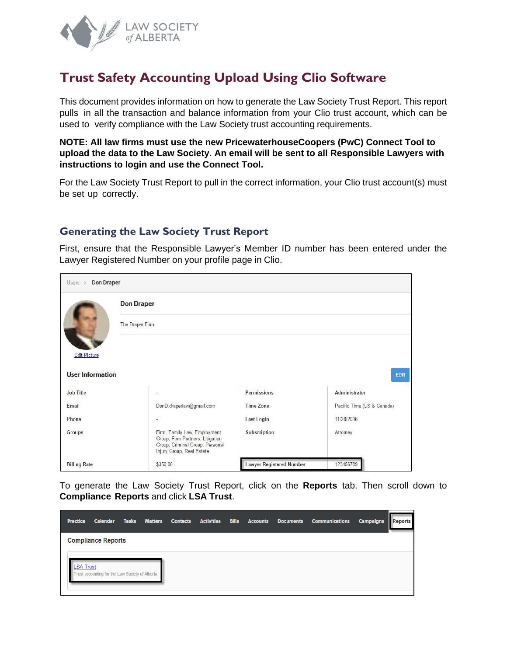

# **Trust Safety Accounting Upload Using Clio Software**

This document provides information on how to generate the Law Society Trust Report. This report pulls in all the transaction and balance information from your Clio trust account, which can be used to verify compliance with the Law Society trust accounting requirements.

**NOTE: All law firms must use the new PricewaterhouseCoopers (PwC) Connect Tool to upload the data to the Law Society. An email will be sent to all Responsible Lawyers with instructions to login and use the Connect Tool.** 

For the Law Society Trust Report to pull in the correct information, your Clio trust account(s) must be set up correctly.

## **Generating the Law Society Trust Report**

First, ensure that the Responsible Lawyer's Member ID number has been entered under the Lawyer Registered Number on your profile page in Clio.

| <b>Don Draper</b><br>Users $>$ |                                                                                                                                  |                                 |                            |  |  |  |  |  |  |  |
|--------------------------------|----------------------------------------------------------------------------------------------------------------------------------|---------------------------------|----------------------------|--|--|--|--|--|--|--|
|                                | <b>Don Draper</b>                                                                                                                |                                 |                            |  |  |  |  |  |  |  |
|                                | The Draper Firm                                                                                                                  |                                 |                            |  |  |  |  |  |  |  |
| <b>Edit Picture</b>            |                                                                                                                                  |                                 |                            |  |  |  |  |  |  |  |
| <b>User Information</b>        |                                                                                                                                  |                                 | <b>EDIT</b>                |  |  |  |  |  |  |  |
| Job Title                      | $\tilde{\mathbb{R}}$                                                                                                             | Permissions                     | Administrator              |  |  |  |  |  |  |  |
| Email                          | DonD.draperlaw@gmail.com                                                                                                         | <b>Time Zone</b>                | Pacific Time (US & Canada) |  |  |  |  |  |  |  |
| Phone                          | Ξ                                                                                                                                | Last Login                      | 11/28/2016                 |  |  |  |  |  |  |  |
| Groups                         | Firm, Family Law, Employment<br>Group, Firm Partners, Litigation<br>Group, Criminal Group, Personal<br>Injury Group, Real Estate | Subscription                    | Attorney                   |  |  |  |  |  |  |  |
| <b>Billing Rate</b>            | \$350.00                                                                                                                         | <b>Lawyer Registered Number</b> | 123456789                  |  |  |  |  |  |  |  |

To generate the Law Society Trust Report, click on the **Reports** tab. Then scroll down to **Compliance Reports** and click **LSA Trust**.

| <b>Practice</b>  | Calendar                                        | <b>Tasks</b> | <b>Matters</b> | <b>Contacts</b> | <b>Activities</b> | <b>Bills</b> | <b>Accounts</b> | <b>Documents</b> | <b>Communications</b> | <b>Campaigns</b> | <b>Reports</b> |
|------------------|-------------------------------------------------|--------------|----------------|-----------------|-------------------|--------------|-----------------|------------------|-----------------------|------------------|----------------|
|                  | <b>Compliance Reports</b>                       |              |                |                 |                   |              |                 |                  |                       |                  |                |
| <b>LSA Trust</b> | Trust accounting for the Law Society of Alberta |              |                |                 |                   |              |                 |                  |                       |                  |                |
|                  |                                                 |              |                |                 |                   |              |                 |                  |                       |                  |                |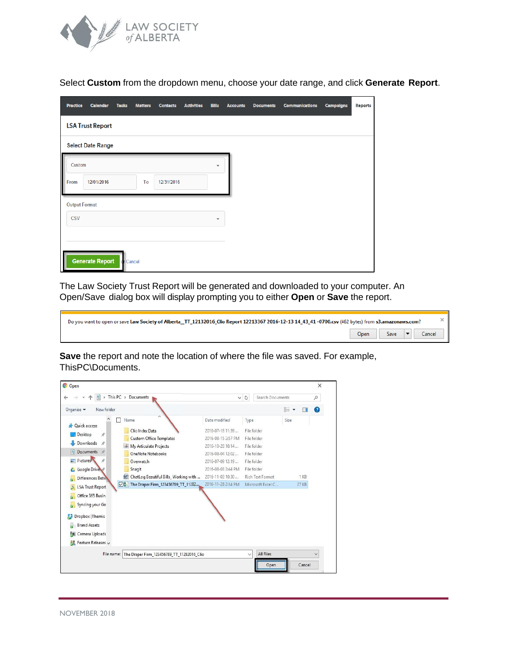

Select **Custom** from the dropdown menu, choose your date range, and click **Generate Report**.

| <b>Practice</b>      | <b>Calendar</b>          | <b>Tasks</b> | <b>Matters</b> | <b>Contacts</b> | <b>Activities</b> | <b>Bills</b>            | <b>Accounts</b> | <b>Documents</b> | <b>Communications</b> | <b>Campaigns</b> | <b>Reports</b> |
|----------------------|--------------------------|--------------|----------------|-----------------|-------------------|-------------------------|-----------------|------------------|-----------------------|------------------|----------------|
|                      | <b>LSA Trust Report</b>  |              |                |                 |                   |                         |                 |                  |                       |                  |                |
|                      | <b>Select Date Range</b> |              |                |                 |                   |                         |                 |                  |                       |                  |                |
| Custom               |                          |              |                |                 |                   | ₩                       |                 |                  |                       |                  |                |
| From                 | 12/01/2016               |              | To             | 12/31/2016      |                   |                         |                 |                  |                       |                  |                |
| <b>Output Format</b> |                          |              |                |                 |                   |                         |                 |                  |                       |                  |                |
| <b>CSV</b>           |                          |              |                |                 |                   | $\overline{\mathbf{v}}$ |                 |                  |                       |                  |                |
|                      |                          |              |                |                 |                   |                         |                 |                  |                       |                  |                |
|                      | <b>Generate Report</b>   | cr Cancel    |                |                 |                   |                         |                 |                  |                       |                  |                |

The Law Society Trust Report will be generated and downloaded to your computer. An Open/Save dialog box will display prompting you to either **Open** or **Save** the report.

| Do you want to open or save Law Society of Alberta_TT_12132016_Clio Report 12213367 2016-12-13 14 43 41 -0700.csv (462 bytes) from s3.amazonaws.com? |  |                     |  |  |  |  |  |
|------------------------------------------------------------------------------------------------------------------------------------------------------|--|---------------------|--|--|--|--|--|
|                                                                                                                                                      |  | Open Save TO Cancel |  |  |  |  |  |

**Save** the report and note the location of where the file was saved. For example, ThisPC\Documents.

| > This PC > Documents<br>兽                                                                                                                                                                                                                                                                                                                  |                                                                                                                                                               | Search Documents<br>$\vee$ 0                                                                                       |      | ρ      |
|---------------------------------------------------------------------------------------------------------------------------------------------------------------------------------------------------------------------------------------------------------------------------------------------------------------------------------------------|---------------------------------------------------------------------------------------------------------------------------------------------------------------|--------------------------------------------------------------------------------------------------------------------|------|--------|
| Organize v<br>New folder                                                                                                                                                                                                                                                                                                                    |                                                                                                                                                               |                                                                                                                    | EE + | Ø<br>ш |
| Name<br><b>Duick access</b><br>Clio Index Data<br>Desktop<br>À<br><b>Custom Office Templates</b><br>Downloads<br>$\mathcal{A}$<br>a My Articulate Projects<br>Documents *<br>麠<br><b>OneNote Notebooks</b><br>Pictures <sup>®</sup><br>À<br>Overwatch<br>Snagit<br>Google Drive<br>ChatLog Beautiful Bills_Working with<br>Differences Betw | Date modified<br>2016-07-18 11:39<br>2016-08-15 2:57 PM<br>2016-10-28 10:14<br>2016-08-04 12:02<br>2016-07-09 12:19<br>2016-08-03 3:44 PM<br>2016-11-03 10:30 | Type<br>File folder<br>File folder<br>File folder<br>File folder<br>File folder<br>File folder<br>Rich Text Format | Size | 1 K B  |
| ○图 The Draper Firm_123456789_TT_11282<br><b>LSA Trust Report</b><br>Office 365 Busin<br>Syncing your Go<br>Dropbox (Themis<br><b>Brand Assets</b><br>U<br>Camera Uploads<br><b>D</b><br>Feature Releases v<br>躯                                                                                                                             | 2016-11-28 2:34 PM                                                                                                                                            | Microsoft Excel C                                                                                                  |      | 27 KB  |
| File name: The Draper Firm 123456789 TT 11282016 Clio                                                                                                                                                                                                                                                                                       |                                                                                                                                                               | All Files<br>$\checkmark$<br>Open                                                                                  |      | Cancel |